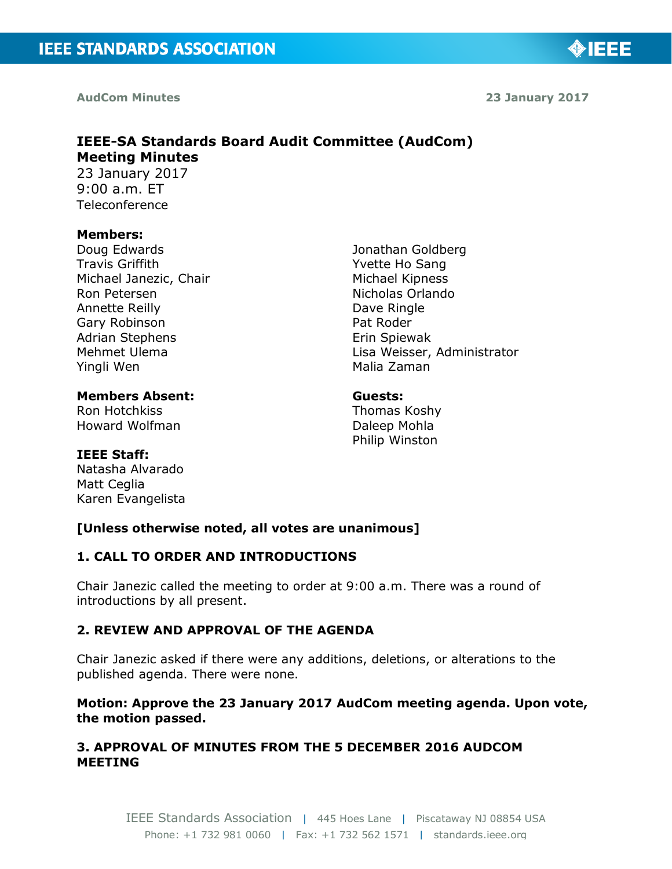**AudCom Minutes** 

**23 January 2017**

◈IEEE

## **IEEE-SA Standards Board Audit Committee (AudCom) Meeting Minutes**  23 January 2017 9:00 a.m. ET

Teleconference

#### **Members:**

Doug Edwards Travis Griffith Michael Janezic, Chair Ron Petersen Annette Reilly Gary Robinson Adrian Stephens Mehmet Ulema Yingli Wen

**Members Absent:** Ron Hotchkiss Howard Wolfman

Jonathan Goldberg Yvette Ho Sang Michael Kipness Nicholas Orlando Dave Ringle Pat Roder Erin Spiewak Lisa Weisser, Administrator Malia Zaman

# **Guests:**

Thomas Koshy Daleep Mohla Philip Winston

## **IEEE Staff:**

Natasha Alvarado Matt Ceglia Karen Evangelista

## **[Unless otherwise noted, all votes are unanimous]**

## **1. CALL TO ORDER AND INTRODUCTIONS**

Chair Janezic called the meeting to order at 9:00 a.m. There was a round of introductions by all present.

## **2. REVIEW AND APPROVAL OF THE AGENDA**

Chair Janezic asked if there were any additions, deletions, or alterations to the published agenda. There were none.

## **Motion: Approve the 23 January 2017 AudCom meeting agenda. Upon vote, the motion passed.**

## **3. APPROVAL OF MINUTES FROM THE 5 DECEMBER 2016 AUDCOM MEETING**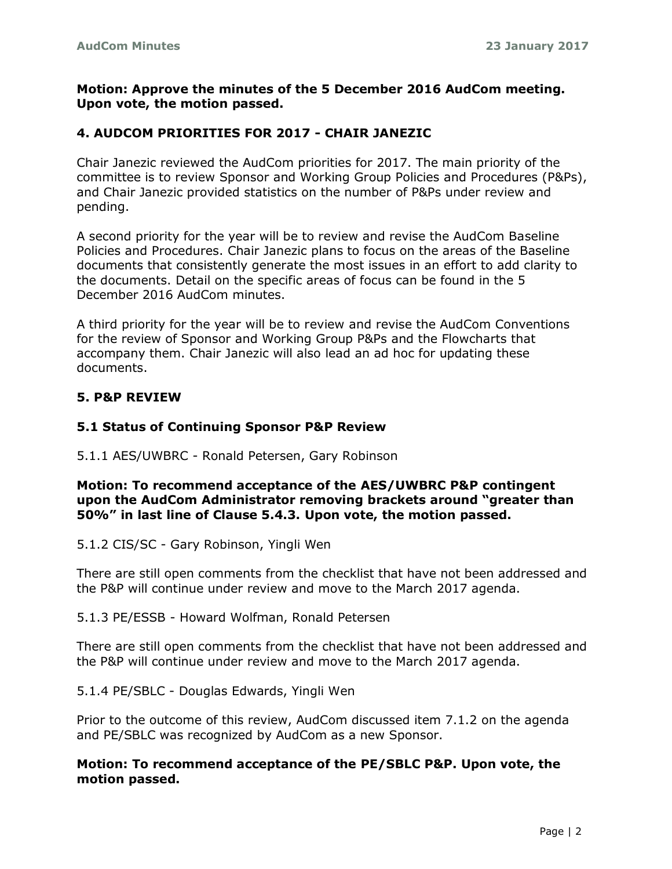## **Motion: Approve the minutes of the 5 December 2016 AudCom meeting. Upon vote, the motion passed.**

## **4. AUDCOM PRIORITIES FOR 2017 - CHAIR JANEZIC**

Chair Janezic reviewed the AudCom priorities for 2017. The main priority of the committee is to review Sponsor and Working Group Policies and Procedures (P&Ps), and Chair Janezic provided statistics on the number of P&Ps under review and pending.

A second priority for the year will be to review and revise the AudCom Baseline Policies and Procedures. Chair Janezic plans to focus on the areas of the Baseline documents that consistently generate the most issues in an effort to add clarity to the documents. Detail on the specific areas of focus can be found in the 5 December 2016 AudCom minutes.

A third priority for the year will be to review and revise the AudCom Conventions for the review of Sponsor and Working Group P&Ps and the Flowcharts that accompany them. Chair Janezic will also lead an ad hoc for updating these documents.

#### **5. P&P REVIEW**

#### **5.1 Status of Continuing Sponsor P&P Review**

5.1.1 AES/UWBRC - Ronald Petersen, Gary Robinson

**Motion: To recommend acceptance of the AES/UWBRC P&P contingent upon the AudCom Administrator removing brackets around "greater than 50%" in last line of Clause 5.4.3. Upon vote, the motion passed.**

5.1.2 CIS/SC - Gary Robinson, Yingli Wen

There are still open comments from the checklist that have not been addressed and the P&P will continue under review and move to the March 2017 agenda.

5.1.3 PE/ESSB - Howard Wolfman, Ronald Petersen

There are still open comments from the checklist that have not been addressed and the P&P will continue under review and move to the March 2017 agenda.

5.1.4 PE/SBLC - Douglas Edwards, Yingli Wen

Prior to the outcome of this review, AudCom discussed item 7.1.2 on the agenda and PE/SBLC was recognized by AudCom as a new Sponsor.

## **Motion: To recommend acceptance of the PE/SBLC P&P. Upon vote, the motion passed.**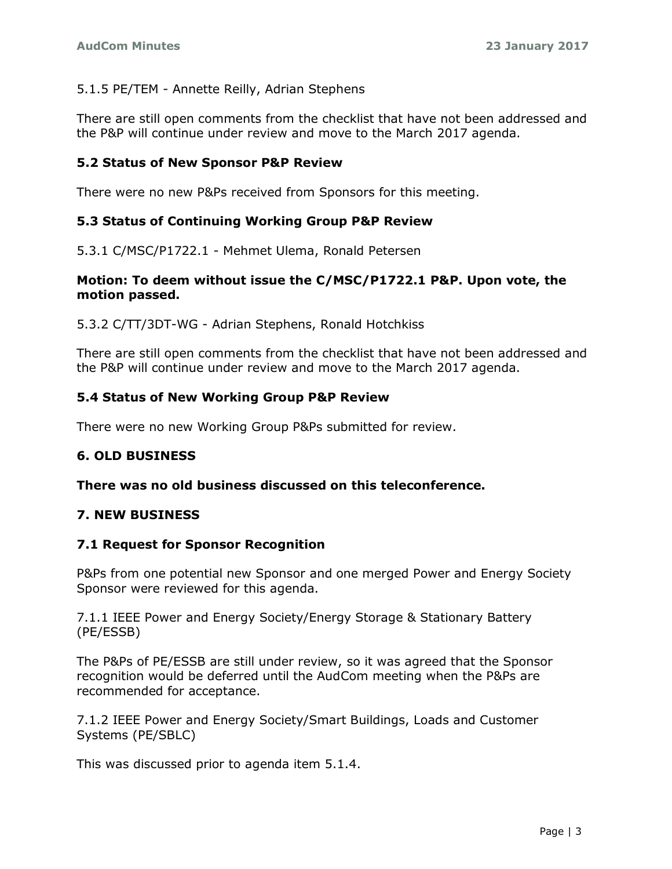## 5.1.5 PE/TEM - Annette Reilly, Adrian Stephens

There are still open comments from the checklist that have not been addressed and the P&P will continue under review and move to the March 2017 agenda.

## **5.2 Status of New Sponsor P&P Review**

There were no new P&Ps received from Sponsors for this meeting.

#### **5.3 Status of Continuing Working Group P&P Review**

5.3.1 C/MSC/P1722.1 - Mehmet Ulema, Ronald Petersen

#### **Motion: To deem without issue the C/MSC/P1722.1 P&P. Upon vote, the motion passed.**

5.3.2 C/TT/3DT-WG - Adrian Stephens, Ronald Hotchkiss

There are still open comments from the checklist that have not been addressed and the P&P will continue under review and move to the March 2017 agenda.

#### **5.4 Status of New Working Group P&P Review**

There were no new Working Group P&Ps submitted for review.

#### **6. OLD BUSINESS**

**There was no old business discussed on this teleconference.**

#### **7. NEW BUSINESS**

#### **7.1 Request for Sponsor Recognition**

P&Ps from one potential new Sponsor and one merged Power and Energy Society Sponsor were reviewed for this agenda.

7.1.1 IEEE Power and Energy Society/Energy Storage & Stationary Battery (PE/ESSB)

The P&Ps of PE/ESSB are still under review, so it was agreed that the Sponsor recognition would be deferred until the AudCom meeting when the P&Ps are recommended for acceptance.

7.1.2 IEEE Power and Energy Society/Smart Buildings, Loads and Customer Systems (PE/SBLC)

This was discussed prior to agenda item 5.1.4.